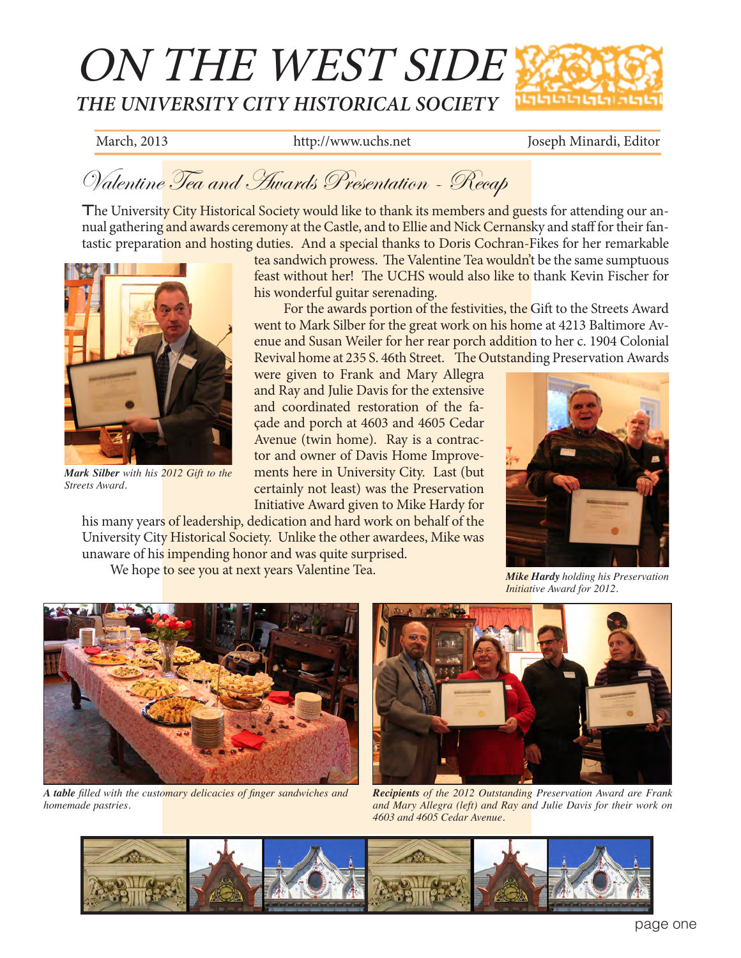# ON THE WEST SIDE *THE UNIVERSITY CITY HISTORICAL SOCIETY*

March, 2013 http://www.uchs.net Joseph Minardi, Editor

### Valentine Tea and Awards Presentation - Recap

The University City Historical Society would like to thank its members and guests for attending our annual gathering and awards ceremony at the Castle, and to Ellie and Nick Cernansky and staff for their fantastic preparation and hosting duties. And a special thanks to Doris Cochran-Fikes for her remarkable



*Mark Silber with his 2012 Gift to the Streets Award.*

tea sandwich prowess. The Valentine Tea wouldn't be the same sumptuous feast without her! The UCHS would also like to thank Kevin Fischer for his wonderful guitar serenading.

For the awards portion of the festivities, the Gift to the Streets Award went to Mark Silber for the great work on his home at 4213 Baltimore Avenue and Susan Weiler for her rear porch addition to her c. 1904 Colonial Revival home at 235 S. 46th Street. The Outstanding Preservation Awards

were given to Frank and Mary Allegra and Ray and Julie Davis for the extensive and coordinated restoration of the façade and porch at 4603 and 4605 Cedar Avenue (twin home). Ray is a contractor and owner of Davis Home Improvements here in University City. Last (but certainly not least) was the Preservation Initiative Award given to Mike Hardy for

his many years of leadership, dedication and hard work on behalf of the University City Historical Society. Unlike the other awardees, Mike was unaware of his impending honor and was quite surprised.

We hope to see you at next years Valentine Tea.



*Mike Hardy holding his Preservation Initiative Award for 2012.*



*A table filled with the customary delicacies of finger sandwiches and homemade pastries.* 



*Recipients of the 2012 Outstanding Preservation Award are Frank and Mary Allegra (left) and Ray and Julie Davis for their work on 4603 and 4605 Cedar Avenue.* 

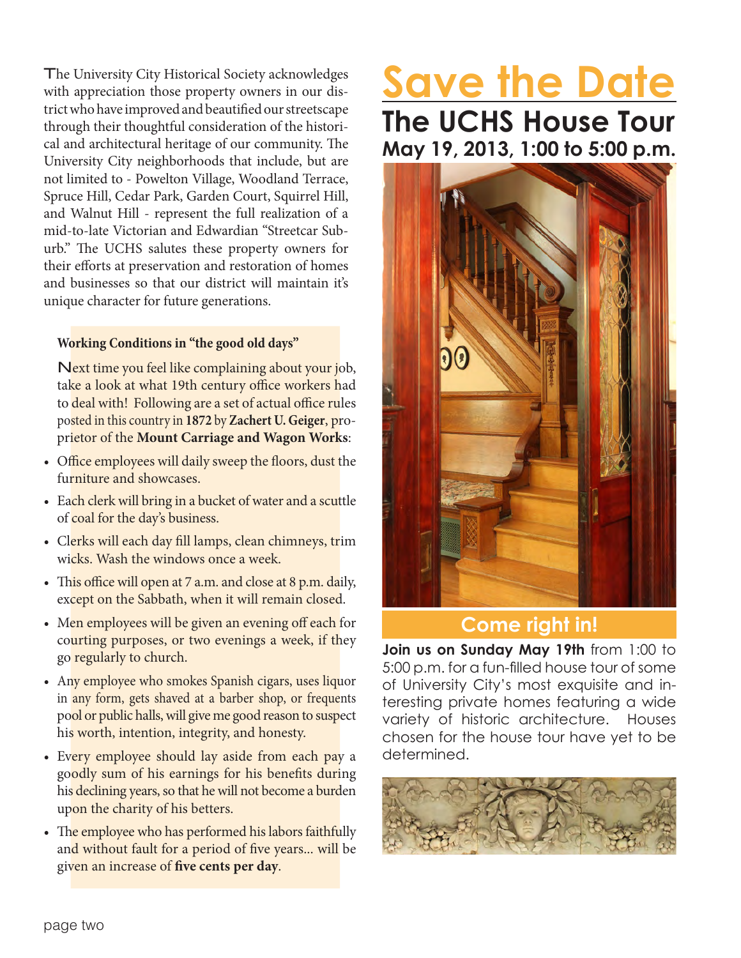The University City Historical Society acknowledges with appreciation those property owners in our district who have improved and beautified our streetscape through their thoughtful consideration of the historical and architectural heritage of our community. The University City neighborhoods that include, but are not limited to - Powelton Village, Woodland Terrace, Spruce Hill, Cedar Park, Garden Court, Squirrel Hill, and Walnut Hill - represent the full realization of a mid-to-late Victorian and Edwardian "Streetcar Suburb." The UCHS salutes these property owners for their efforts at preservation and restoration of homes and businesses so that our district will maintain it's unique character for future generations.

#### **Working Conditions in "the good old days"**

Next time you feel like complaining about your job, take a look at what 19th century office workers had to deal with! Following are a set of actual office rules posted in this country in **1872** by **Zachert U. Geiger**, proprietor of the **Mount Carriage and Wagon Works**:

- Office employees will daily sweep the floors, dust the furniture and showcases.
- Each clerk will bring in a bucket of water and a scuttle of coal for the day's business.
- Clerks will each day fill lamps, clean chimneys, trim wicks. Wash the windows once a week.
- This office will open at 7 a.m. and close at 8 p.m. daily, except on the Sabbath, when it will remain closed.
- Men employees will be given an evening off each for courting purposes, or two evenings a week, if they go regularly to church.
- Any employee who smokes Spanish cigars, uses liquor in any form, gets shaved at a barber shop, or frequents pool or public halls, will give me good reason to suspect his worth, intention, integrity, and honesty.
- Every employee should lay aside from each pay a goodly sum of his earnings for his benefits during his declining years, so that he will not become a burden upon the charity of his betters.
- The employee who has performed his labors faithfully and without fault for a period of five years... will be given an increase of **five cents per day**.

## **Save the Date The UCHS House Tour May 19, 2013, 1:00 to 5:00 p.m.**



#### **Come right in!**

**Join us on Sunday May 19th** from 1:00 to 5:00 p.m. for a fun-filled house tour of some of University City's most exquisite and interesting private homes featuring a wide variety of historic architecture. Houses chosen for the house tour have yet to be determined.

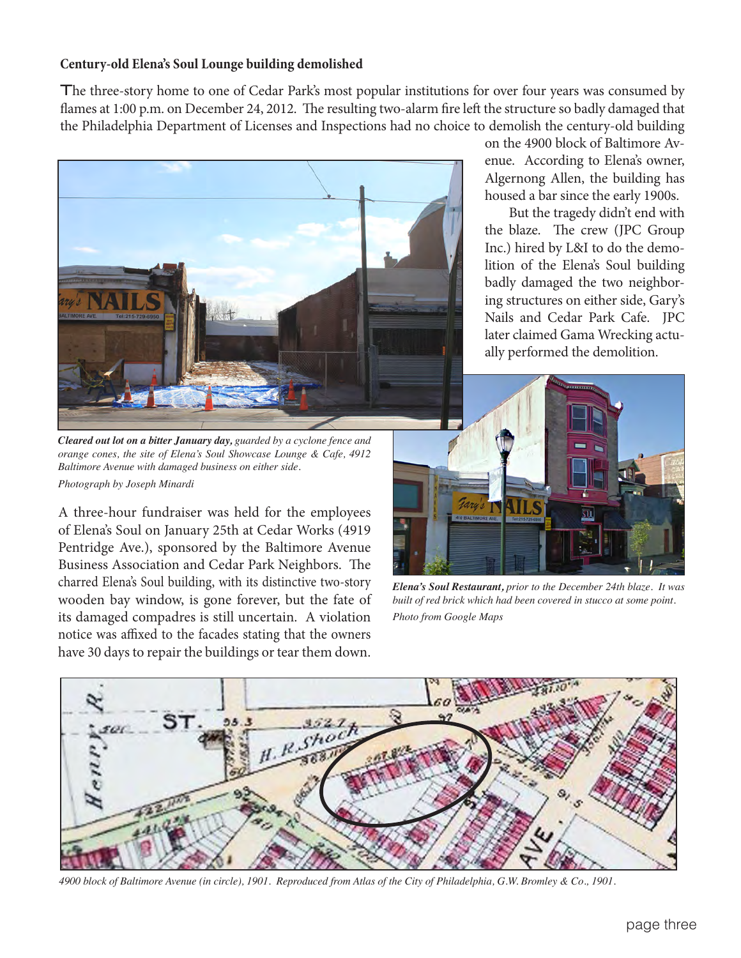#### **Century-old Elena's Soul Lounge building demolished**

The three-story home to one of Cedar Park's most popular institutions for over four years was consumed by flames at 1:00 p.m. on December 24, 2012. The resulting two-alarm fire left the structure so badly damaged that the Philadelphia Department of Licenses and Inspections had no choice to demolish the century-old building



*Cleared out lot on a bitter January day, guarded by a cyclone fence and orange cones, the site of Elena's Soul Showcase Lounge & Cafe, 4912 Baltimore Avenue with damaged business on either side. Photograph by Joseph Minardi*

A three-hour fundraiser was held for the employees of Elena's Soul on January 25th at Cedar Works (4919 Pentridge Ave.), sponsored by the Baltimore Avenue Business Association and Cedar Park Neighbors. The charred Elena's Soul building, with its distinctive two-story wooden bay window, is gone forever, but the fate of its damaged compadres is still uncertain. A violation notice was affixed to the facades stating that the owners have 30 days to repair the buildings or tear them down.

on the 4900 block of Baltimore Avenue. According to Elena's owner, Algernong Allen, the building has housed a bar since the early 1900s.

 But the tragedy didn't end with the blaze. The crew (JPC Group Inc.) hired by L&I to do the demolition of the Elena's Soul building badly damaged the two neighboring structures on either side, Gary's Nails and Cedar Park Cafe. JPC later claimed Gama Wrecking actually performed the demolition.



*Elena's Soul Restaurant, prior to the December 24th blaze. It was built of red brick which had been covered in stucco at some point. Photo from Google Maps*



*4900 block of Baltimore Avenue (in circle), 1901. Reproduced from Atlas of the City of Philadelphia, G.W. Bromley & Co., 1901.*